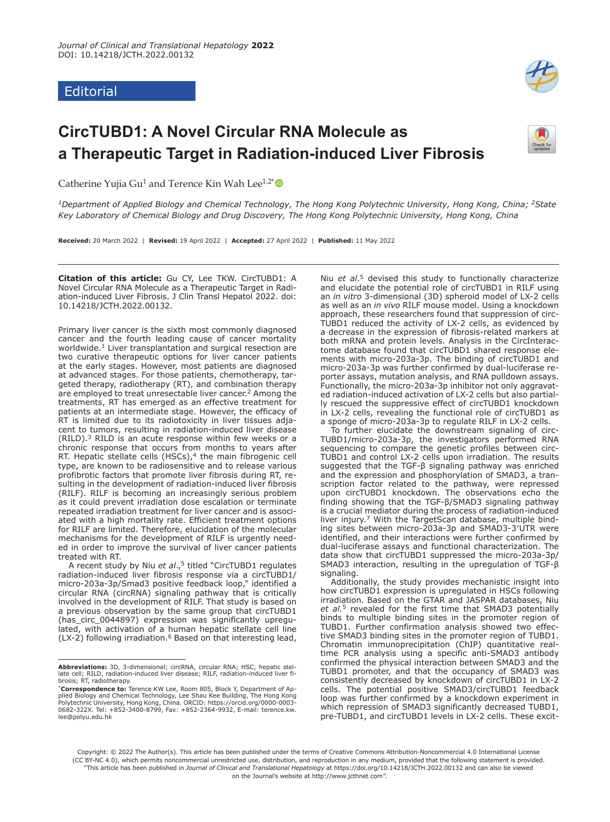# Editorial



# **CircTUBD1: A Novel Circular RNA Molecule as a Therapeutic Target in Radiation-induced Liver Fibrosis**



Catherine Yujia Gu<sup>1</sup> and Terence Kin Wah Lee<sup>1,2[\\*](https://orcid.org/0000-0003-0682-322X)</sup>

*1Department of Applied Biology and Chemical Technology, The Hong Kong Polytechnic University, Hong Kong, China; 2State Key Laboratory of Chemical Biology and Drug Discovery, The Hong Kong Polytechnic University, Hong Kong, China*

**Received:** 20 March 2022 | **Revised:** 19 April 2022 | **Accepted:** 27 April 2022 | **Published:** 11 May 2022

**Citation of this article:** Gu CY, Lee TKW. CircTUBD1: A Novel Circular RNA Molecule as a Therapeutic Target in Radiation-induced Liver Fibrosis. J Clin Transl Hepatol 2022. doi: 10.14218/JCTH.2022.00132.

Primary liver cancer is the sixth most commonly diagnosed cancer and the fourth leading cause of cancer mortality worldwide.<sup>[1](#page-1-0)</sup> Liver transplantation and surgical resection are two curative therapeutic options for liver cancer patients at the early stages. However, most patients are diagnosed at advanced stages. For those patients, chemotherapy, targeted therapy, radiotherapy (RT), and combination therapy are employed to treat unresectable liver cancer.<sup>[2](#page-1-1)</sup> Among the treatments, RT has emerged as an effective treatment for patients at an intermediate stage. However, the efficacy of RT is limited due to its radiotoxicity in liver tissues adjacent to tumors, resulting in radiation-induced liver disease (RILD)[.3](#page-2-0) RILD is an acute response within few weeks or a chronic response that occurs from months to years after RT. Hepatic stellate cells (HSCs), $4$  the main fibrogenic cell type, are known to be radiosensitive and to release various profibrotic factors that promote liver fibrosis during RT, resulting in the development of radiation-induced liver fibrosis (RILF). RILF is becoming an increasingly serious problem as it could prevent irradiation dose escalation or terminate repeated irradiation treatment for liver cancer and is associated with a high mortality rate. Efficient treatment options for RILF are limited. Therefore, elucidation of the molecular mechanisms for the development of RILF is urgently needed in order to improve the survival of liver cancer patients treated with RT.

A recent study by Niu *et al*.,[5](#page-2-2) titled "CircTUBD1 regulates radiation-induced liver fibrosis response via a circTUBD1/ micro-203a-3p/Smad3 positive feedback loop," identified a circular RNA (circRNA) signaling pathway that is critically involved in the development of RILF. That study is based on a previous observation by the same group that circTUBD1 (has\_circ\_0044897) expression was significantly upregulated, with activation of a human hepatic stellate cell line (LX-2) following irradiation.[6](#page-2-3) Based on that interesting lead,

Niu *et al*.[5](#page-2-2) devised this study to functionally characterize and elucidate the potential role of circTUBD1 in RILF using an *in vitro* 3-dimensional (3D) spheroid model of LX-2 cells as well as an *in vivo* RILF mouse model. Using a knockdown approach, these researchers found that suppression of circ-TUBD1 reduced the activity of LX-2 cells, as evidenced by a decrease in the expression of fibrosis-related markers at both mRNA and protein levels. Analysis in the CircInteractome database found that circTUBD1 shared response elements with micro-203a-3p. The binding of circTUBD1 and micro-203a-3p was further confirmed by dual-luciferase reporter assays, mutation analysis, and RNA pulldown assays. Functionally, the micro-203a-3p inhibitor not only aggravated radiation-induced activation of LX-2 cells but also partially rescued the suppressive effect of circTUBD1 knockdown in LX-2 cells, revealing the functional role of circTUBD1 as a sponge of micro-203a-3p to regulate RILF in LX-2 cells.

To further elucidate the downstream signaling of circ-TUBD1/micro-203a-3p, the investigators performed RNA sequencing to compare the genetic profiles between circ-TUBD1 and control LX-2 cells upon irradiation. The results suggested that the TGF-β signaling pathway was enriched and the expression and phosphorylation of SMAD3, a transcription factor related to the pathway, were repressed upon circTUBD1 knockdown. The observations echo the finding showing that the TGF-β/SMAD3 signaling pathway is a crucial mediator during the process of radiation-induced liver injury.<sup>7</sup> With the TargetScan database, multiple binding sites between micro-203a-3p and SMAD3-3′UTR were identified, and their interactions were further confirmed by dual-luciferase assays and functional characterization. The data show that circTUBD1 suppressed the micro-203a-3p/ SMAD3 interaction, resulting in the upregulation of TGF-β signaling.

Additionally, the study provides mechanistic insight into how circTUBD1 expression is upregulated in HSCs following irradiation. Based on the GTAR and JASPAR databases, Niu *et al.*[5](#page-2-2) revealed for the first time that SMAD3 potentially binds to multiple binding sites in the promoter region of TUBD1. Further confirmation analysis showed two effective SMAD3 binding sites in the promoter region of TUBD1. Chromatin immunoprecipitation (ChIP) quantitative realtime PCR analysis using a specific anti-SMAD3 antibody confirmed the physical interaction between SMAD3 and the TUBD1 promoter, and that the occupancy of SMAD3 was consistently decreased by knockdown of circTUBD1 in LX-2 cells. The potential positive SMAD3/circTUBD1 feedback loop was further confirmed by a knockdown experiment in which repression of SMAD3 significantly decreased TUBD1, pre-TUBD1, and circTUBD1 levels in LX-2 cells. These excit-

Copyright: © 2022 The Author(s). This article has been published under the terms of [Creative Commons Attribution-Noncommercial 4.0 International License](http://creativecommons.org/licenses/by-nc/4.0/)  [\(CC BY-NC 4.0\)](http://creativecommons.org/licenses/by-nc/4.0/), which permits noncommercial unrestricted use, distribution, and reproduction in any medium, provided that the following statement is provided. "This article has been published in *Journal of Clinical and Translational Hepatology* at https://doi.org/10.14218/JCTH.2022.00132 and can also be viewed on the Journal's website at http://www.jcthnet.com".

**Abbreviations:** 3D, 3-dimensional; circRNA, circular RNA; HSC, hepatic stel-<br>late cell; RILD, radiation-induced liver disease; RILF, radiation-induced liver fi-<br>brosis; RT, radiotherapy.

<sup>\*</sup>**Correspondence to:** Terence KW Lee, Room 805, Block Y, Department of Applied Biology and Chemical Technology, Lee Shau Kee Building, The Hong Kong Polytechnic University, Hong Kong, China. ORCID: [https://orcid.org/0000-0003-](https://orcid.org/0000-0003-0682-322X) [0682-322X](https://orcid.org/0000-0003-0682-322X). Tel: +852-3400-8799, Fax: +852-2364-9932, E-mail: [terence.kw.](mailto:terence.kw.lee@polyu.edu.hk) [lee@polyu.edu.hk](mailto:terence.kw.lee@polyu.edu.hk)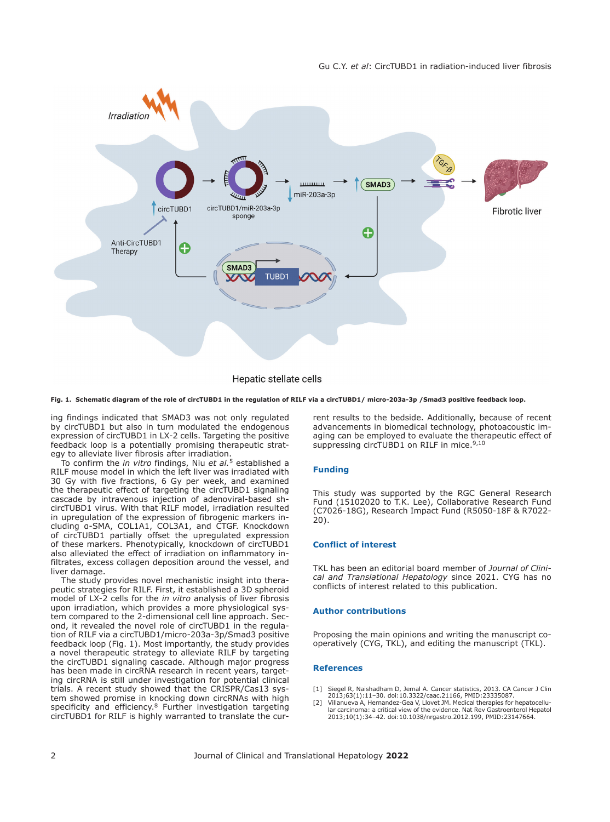

# Hepatic stellate cells

#### <span id="page-1-2"></span>**Fig. 1. Schematic diagram of the role of circTUBD1 in the regulation of RILF via a circTUBD1/ micro-203a-3p /Smad3 positive feedback loop.**

ing findings indicated that SMAD3 was not only regulated by circTUBD1 but also in turn modulated the endogenous expression of circTUBD1 in LX-2 cells. Targeting the positive feedback loop is a potentially promising therapeutic strategy to alleviate liver fibrosis after irradiation.

To confirm the *in vitro* findings, Niu *et al.*[5](#page-2-2) established a RILF mouse model in which the left liver was irradiated with 30 Gy with five fractions, 6 Gy per week, and examined the therapeutic effect of targeting the circTUBD1 signaling cascade by intravenous injection of adenoviral-based shcircTUBD1 virus. With that RILF model, irradiation resulted in upregulation of the expression of fibrogenic markers including α-SMA, COL1A1, COL3A1, and CTGF. Knockdown of circTUBD1 partially offset the upregulated expression of these markers. Phenotypically, knockdown of circTUBD1 also alleviated the effect of irradiation on inflammatory infiltrates, excess collagen deposition around the vessel, and liver damage.

The study provides novel mechanistic insight into therapeutic strategies for RILF. First, it established a 3D spheroid model of LX-2 cells for the *in vitro* analysis of liver fibrosis upon irradiation, which provides a more physiological system compared to the 2-dimensional cell line approach. Second, it revealed the novel role of circTUBD1 in the regulation of RILF via a circTUBD1/micro-203a-3p/Smad3 positive feedback loop ([Fig. 1\)](#page-1-2). Most importantly, the study provides a novel therapeutic strategy to alleviate RILF by targeting the circTUBD1 signaling cascade. Although major progress has been made in circRNA research in recent years, targeting circRNA is still under investigation for potential clinical trials. A recent study showed that the CRISPR/Cas13 system showed promise in knocking down circRNAs with high specificity and efficiency.<sup>8</sup> Further investigation targeting circTUBD1 for RILF is highly warranted to translate the current results to the bedside. Additionally, because of recent advancements in biomedical technology, photoacoustic imaging can be employed to evaluate the therapeutic effect of suppressing circTUBD1 on RILF in mice.<sup>[9](#page-2-6)[,10](#page-2-7)</sup>

#### **Funding**

This study was supported by the RGC General Research Fund (15102020 to T.K. Lee), Collaborative Research Fund (C7026-18G), Research Impact Fund (R5050-18F & R7022- 20).

#### **Conflict of interest**

TKL has been an editorial board member of *Journal of Clinical and Translational Hepatology* since 2021. CYG has no conflicts of interest related to this publication.

### **Author contributions**

Proposing the main opinions and writing the manuscript cooperatively (CYG, TKL), and editing the manuscript (TKL).

#### **References**

- <span id="page-1-0"></span>[1] Siegel R, Naishadham D, Jemal A. Cancer statistics, 2013. CA Cancer J Clin 2013;63(1):11–30. doi:[10.3322/caac.21166](https://doi.org/10.3322/caac.21166), PMID:[23335087.](http://www.ncbi.nlm.nih.gov/pubmed/23335087)
- <span id="page-1-1"></span>[2] Villanueva A, Hernandez-Gea V, Llovet JM. Medical therapies for hepatocellu-lar carcinoma: a critical view of the evidence. Nat Rev Gastroenterol Hepatol 2013;10(1):34–42. doi:[10.1038/nrgastro.2012.199](https://doi.org/10.1038/nrgastro.2012.199), PMID[:23147664.](http://www.ncbi.nlm.nih.gov/pubmed/23147664)